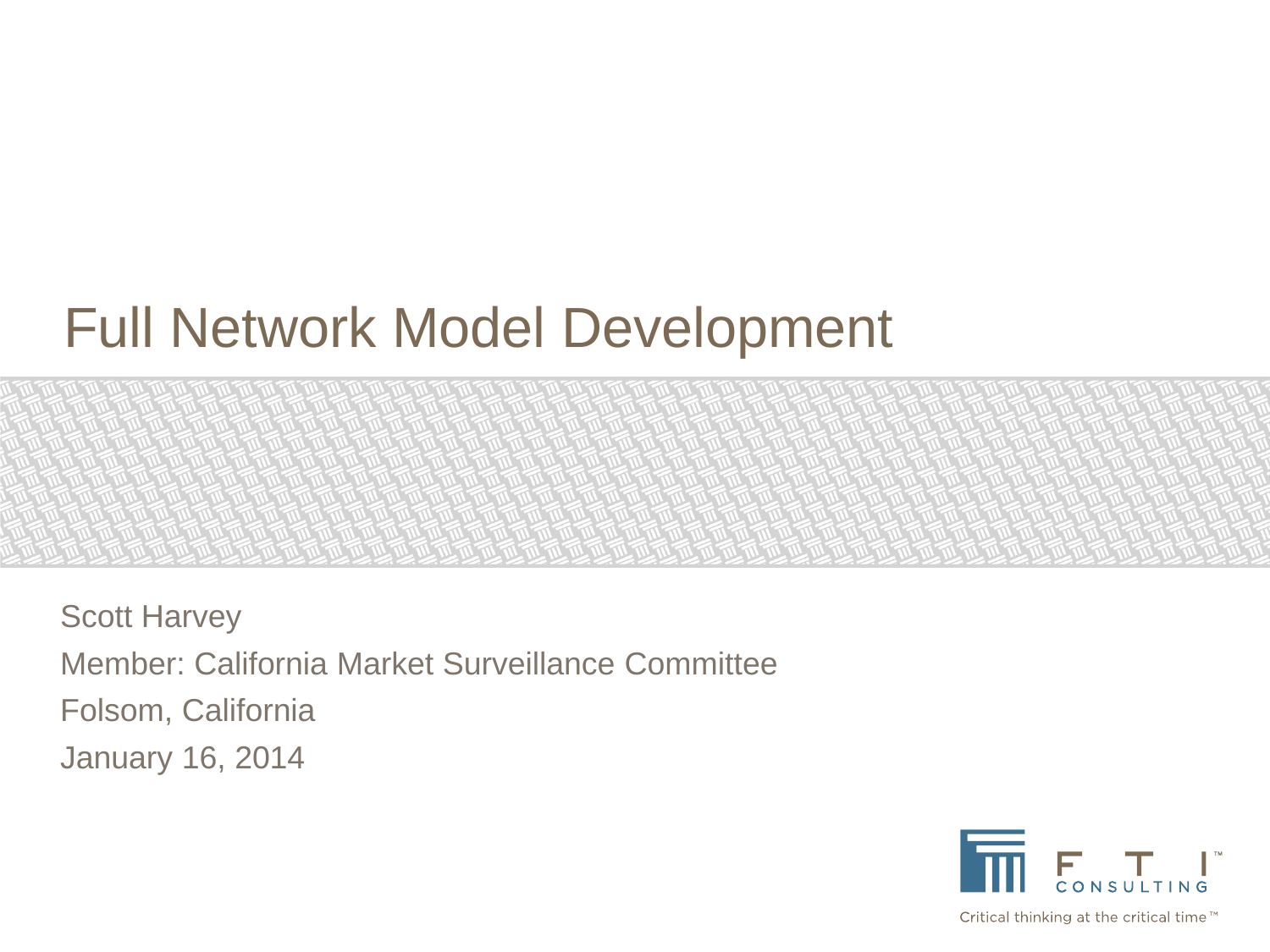# Full Network Model Development

Scott Harvey Member: California Market Surveillance Committee Folsom, California January 16, 2014



Critical thinking at the critical time™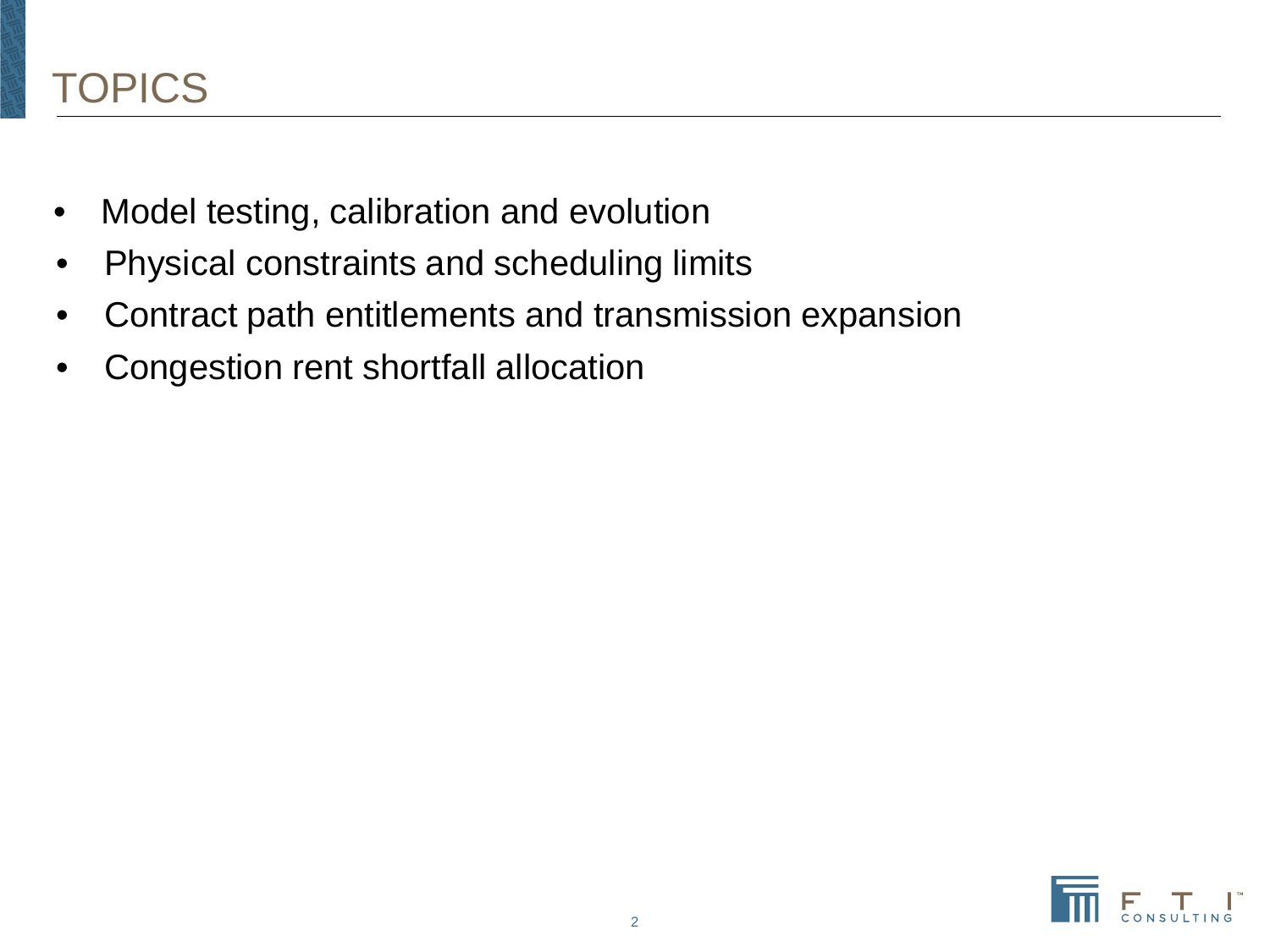- Model testing, calibration and evolution
- Physical constraints and scheduling limits
- Contract path entitlements and transmission expansion
- Congestion rent shortfall allocation

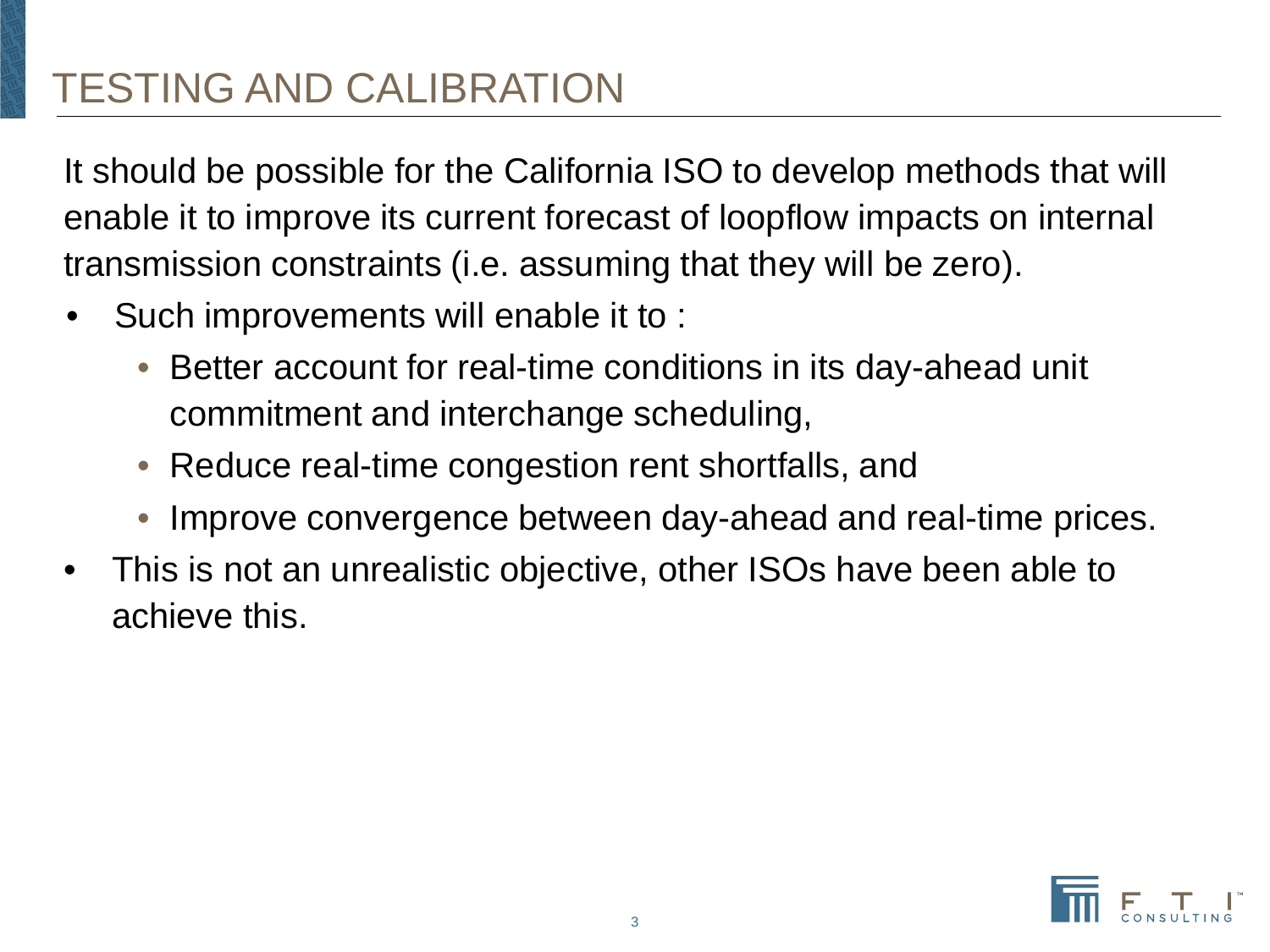#### TESTING AND CALIBRATION

It should be possible for the California ISO to develop methods that will enable it to improve its current forecast of loopflow impacts on internal transmission constraints (i.e. assuming that they will be zero).

- Such improvements will enable it to :
	- Better account for real-time conditions in its day-ahead unit commitment and interchange scheduling,
	- Reduce real-time congestion rent shortfalls, and
	- Improve convergence between day-ahead and real-time prices.
- This is not an unrealistic objective, other ISOs have been able to achieve this.

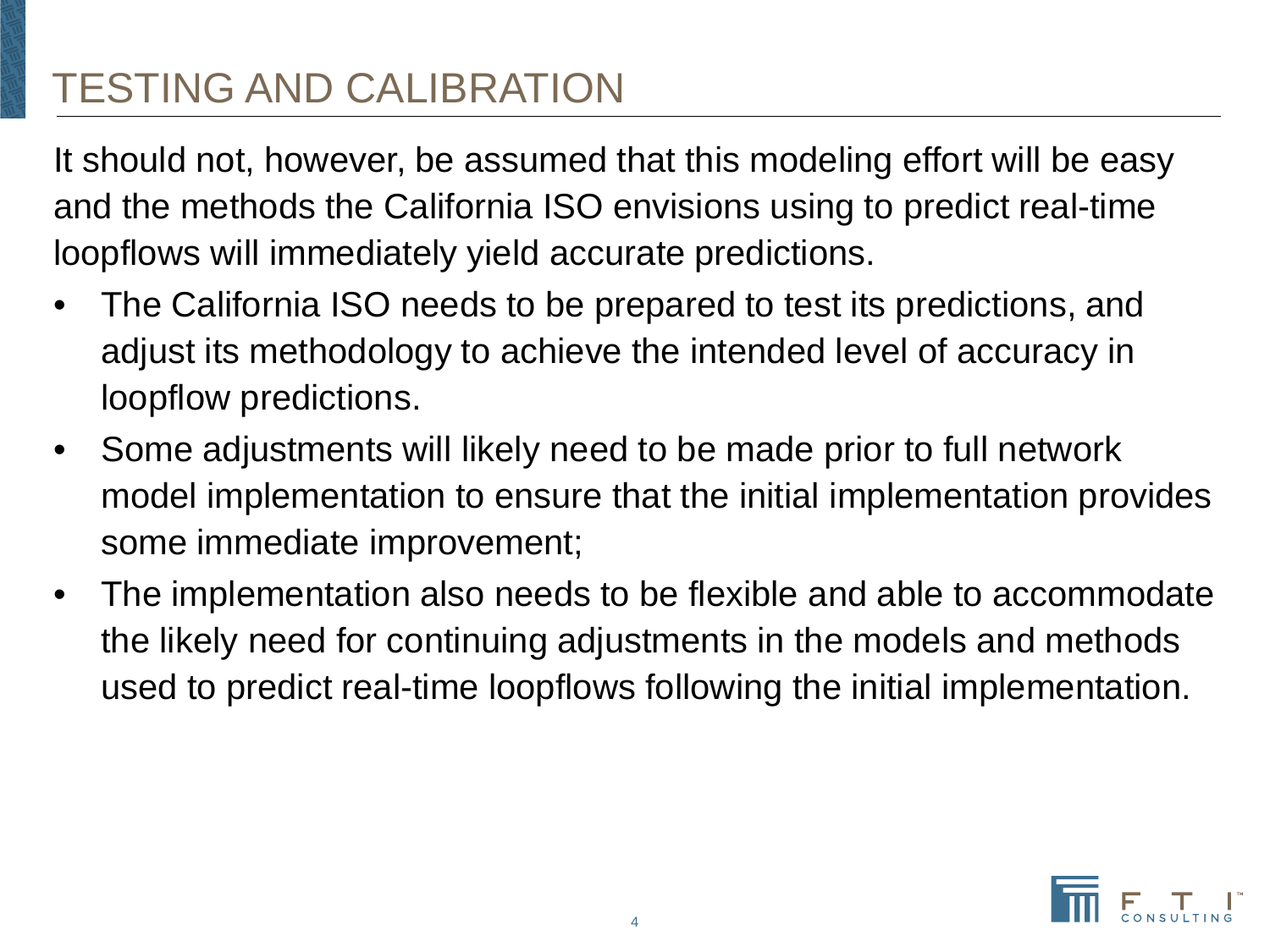#### TESTING AND CALIBRATION

It should not, however, be assumed that this modeling effort will be easy and the methods the California ISO envisions using to predict real-time loopflows will immediately yield accurate predictions.

- The California ISO needs to be prepared to test its predictions, and adjust its methodology to achieve the intended level of accuracy in loopflow predictions.
- Some adjustments will likely need to be made prior to full network model implementation to ensure that the initial implementation provides some immediate improvement;
- The implementation also needs to be flexible and able to accommodate the likely need for continuing adjustments in the models and methods used to predict real-time loopflows following the initial implementation.

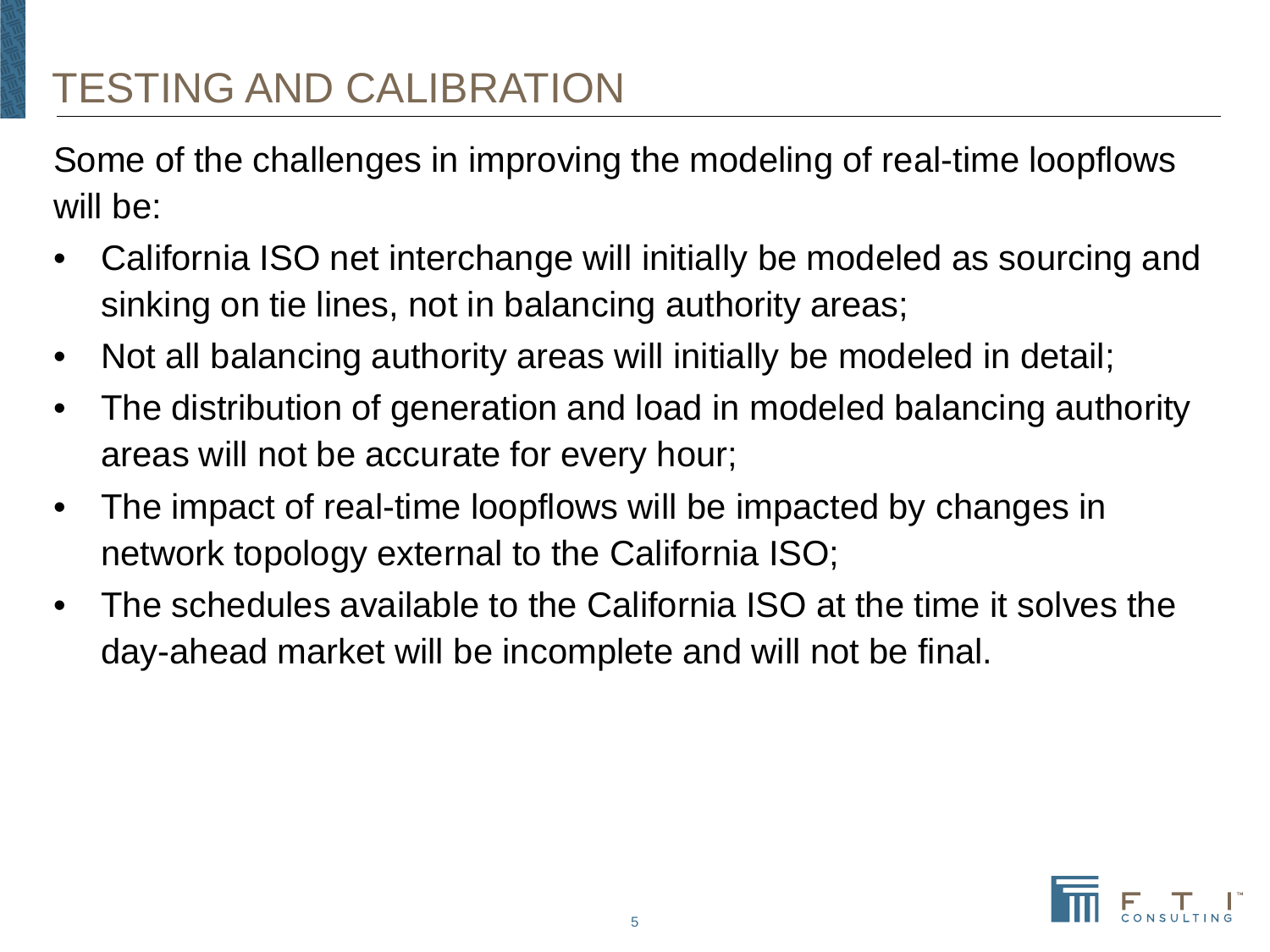Some of the challenges in improving the modeling of real-time loopflows will be:

- California ISO net interchange will initially be modeled as sourcing and sinking on tie lines, not in balancing authority areas;
- Not all balancing authority areas will initially be modeled in detail;
- The distribution of generation and load in modeled balancing authority areas will not be accurate for every hour;
- The impact of real-time loopflows will be impacted by changes in network topology external to the California ISO;
- The schedules available to the California ISO at the time it solves the day-ahead market will be incomplete and will not be final.

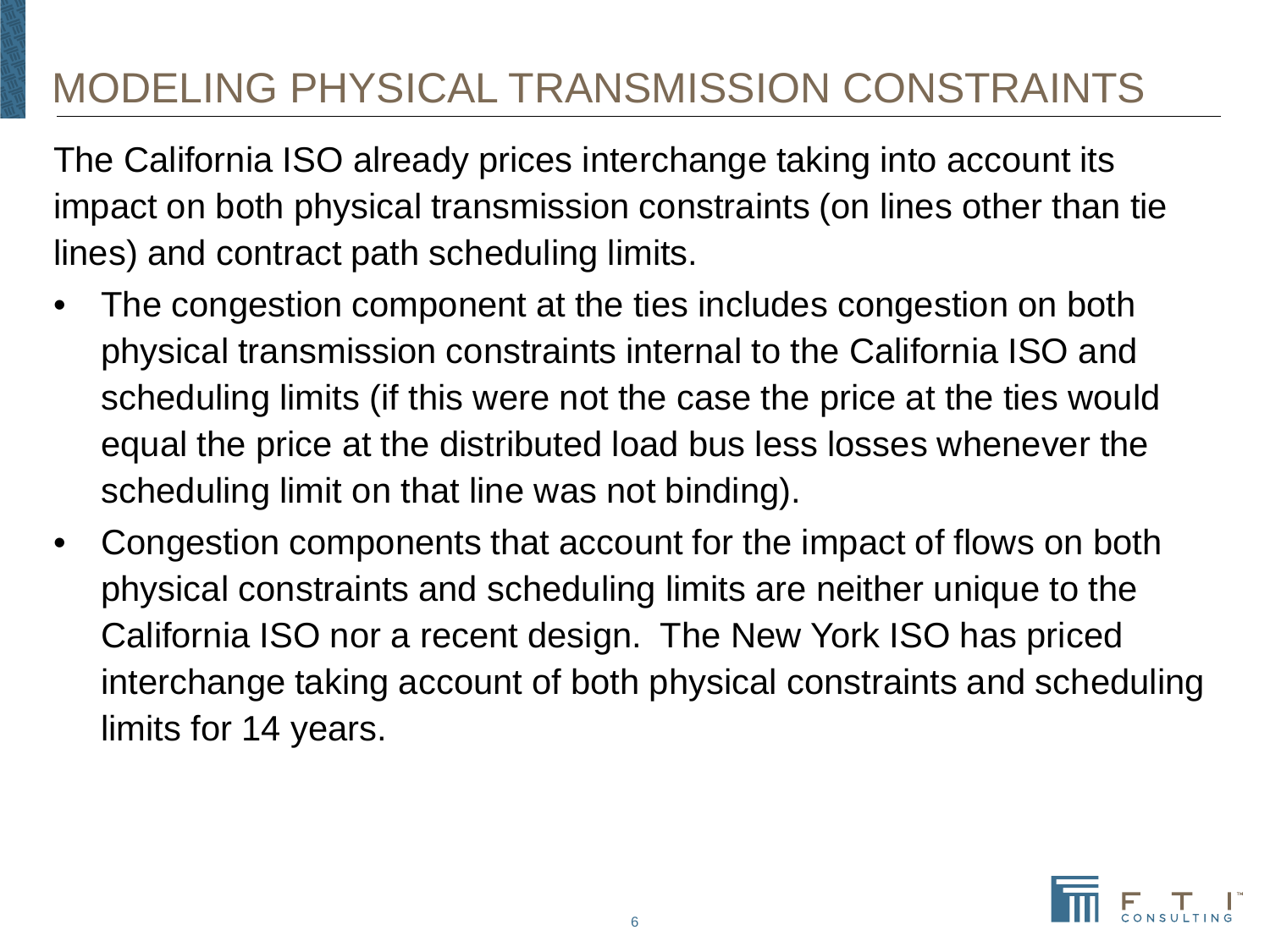The California ISO already prices interchange taking into account its impact on both physical transmission constraints (on lines other than tie lines) and contract path scheduling limits.

- The congestion component at the ties includes congestion on both physical transmission constraints internal to the California ISO and scheduling limits (if this were not the case the price at the ties would equal the price at the distributed load bus less losses whenever the scheduling limit on that line was not binding).
- Congestion components that account for the impact of flows on both physical constraints and scheduling limits are neither unique to the California ISO nor a recent design. The New York ISO has priced interchange taking account of both physical constraints and scheduling limits for 14 years.

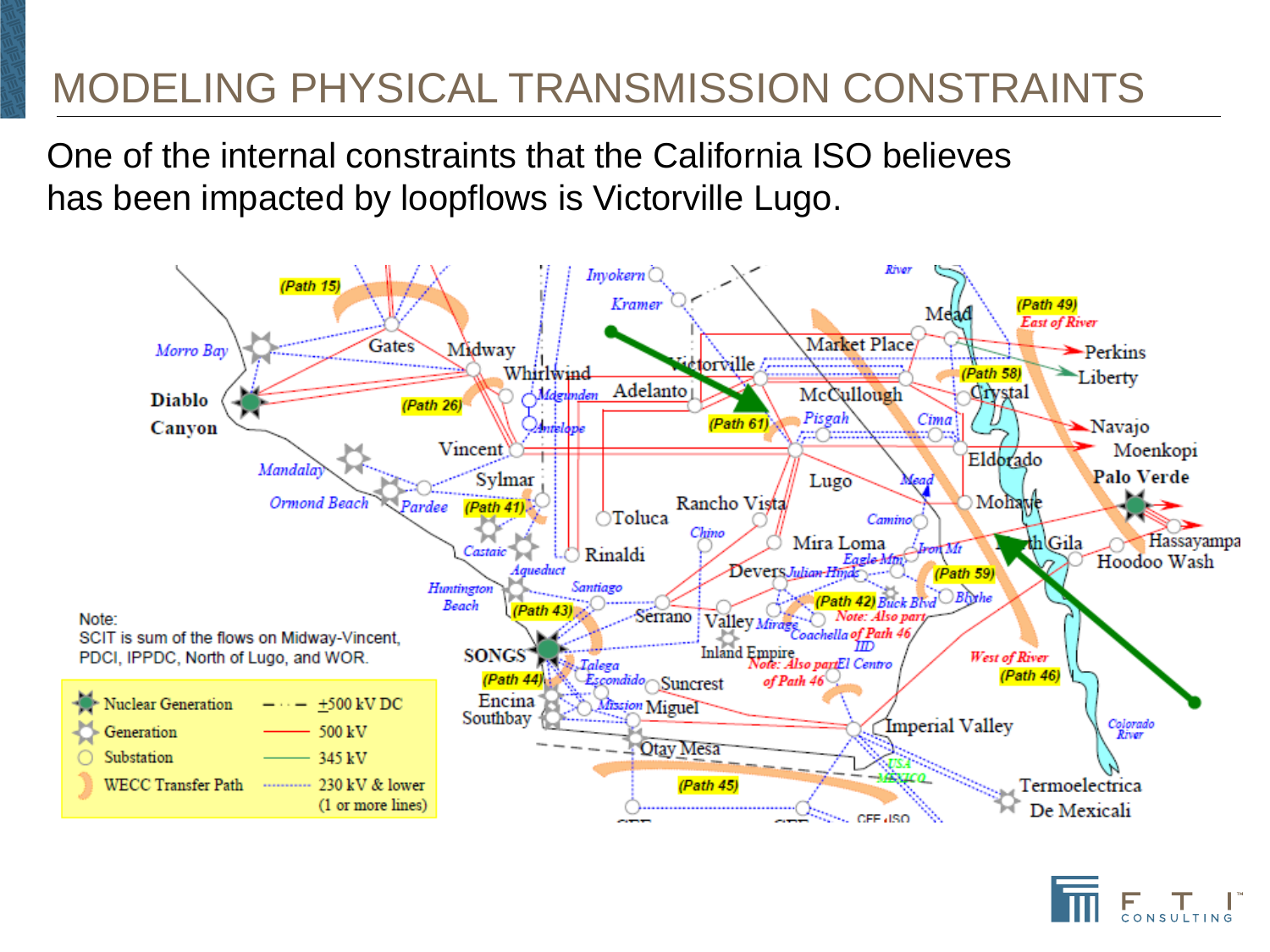One of the internal constraints that the California ISO believes has been impacted by loopflows is Victorville Lugo.



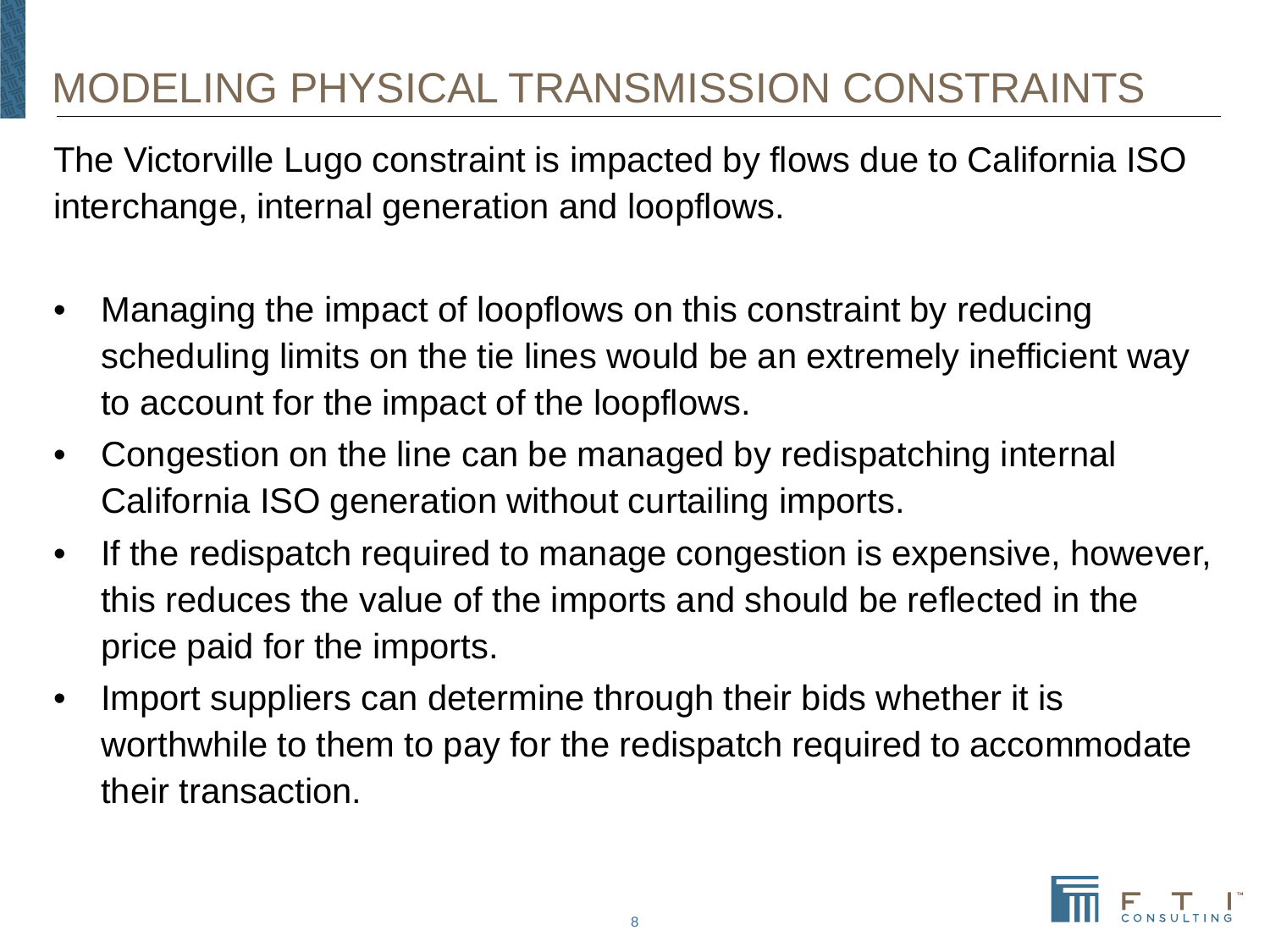The Victorville Lugo constraint is impacted by flows due to California ISO interchange, internal generation and loopflows.

- Managing the impact of loopflows on this constraint by reducing scheduling limits on the tie lines would be an extremely inefficient way to account for the impact of the loopflows.
- Congestion on the line can be managed by redispatching internal California ISO generation without curtailing imports.
- If the redispatch required to manage congestion is expensive, however, this reduces the value of the imports and should be reflected in the price paid for the imports.
- Import suppliers can determine through their bids whether it is worthwhile to them to pay for the redispatch required to accommodate their transaction.

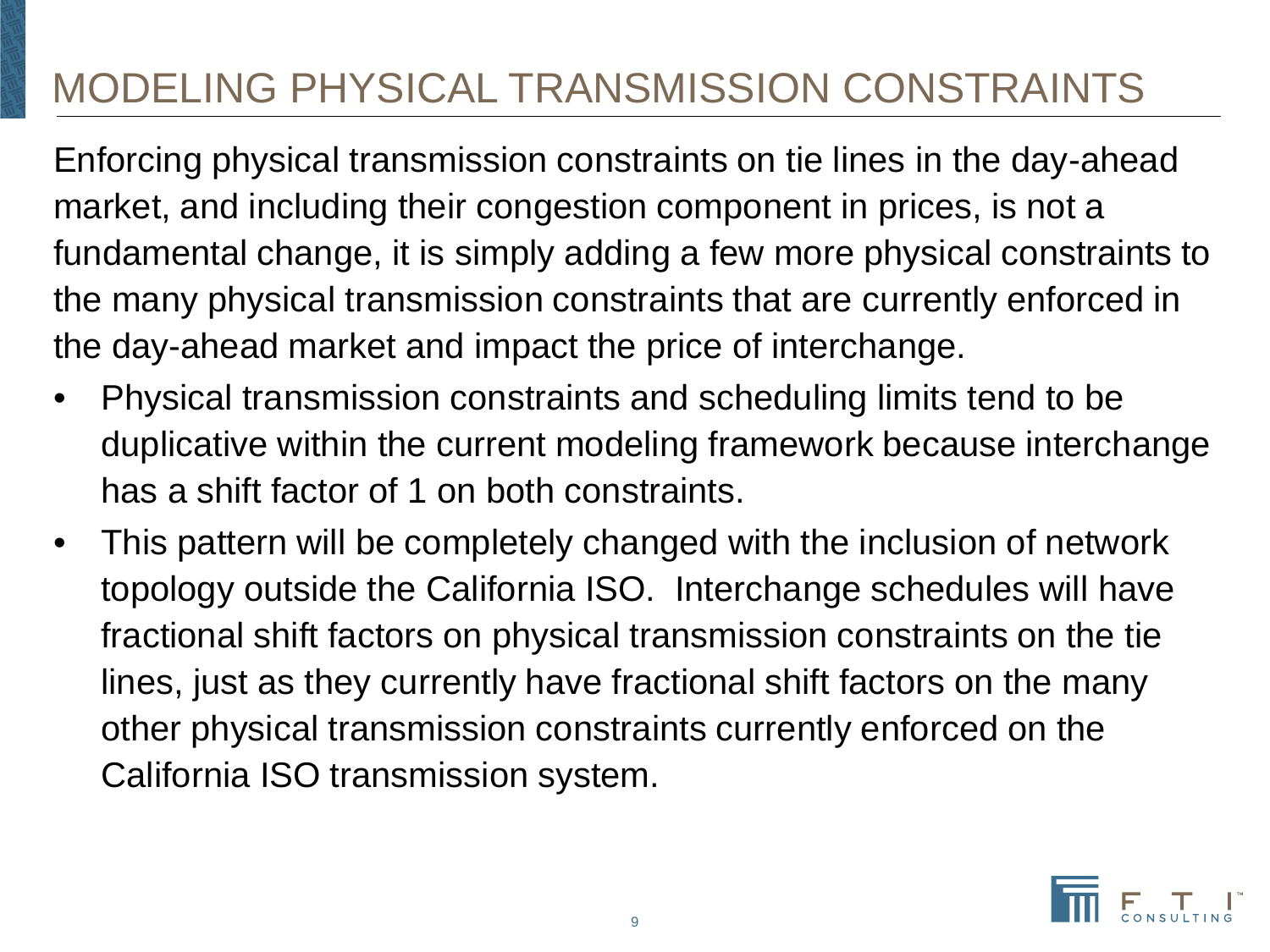Enforcing physical transmission constraints on tie lines in the day-ahead market, and including their congestion component in prices, is not a fundamental change, it is simply adding a few more physical constraints to the many physical transmission constraints that are currently enforced in the day-ahead market and impact the price of interchange.

- Physical transmission constraints and scheduling limits tend to be duplicative within the current modeling framework because interchange has a shift factor of 1 on both constraints.
- This pattern will be completely changed with the inclusion of network topology outside the California ISO. Interchange schedules will have fractional shift factors on physical transmission constraints on the tie lines, just as they currently have fractional shift factors on the many other physical transmission constraints currently enforced on the California ISO transmission system.

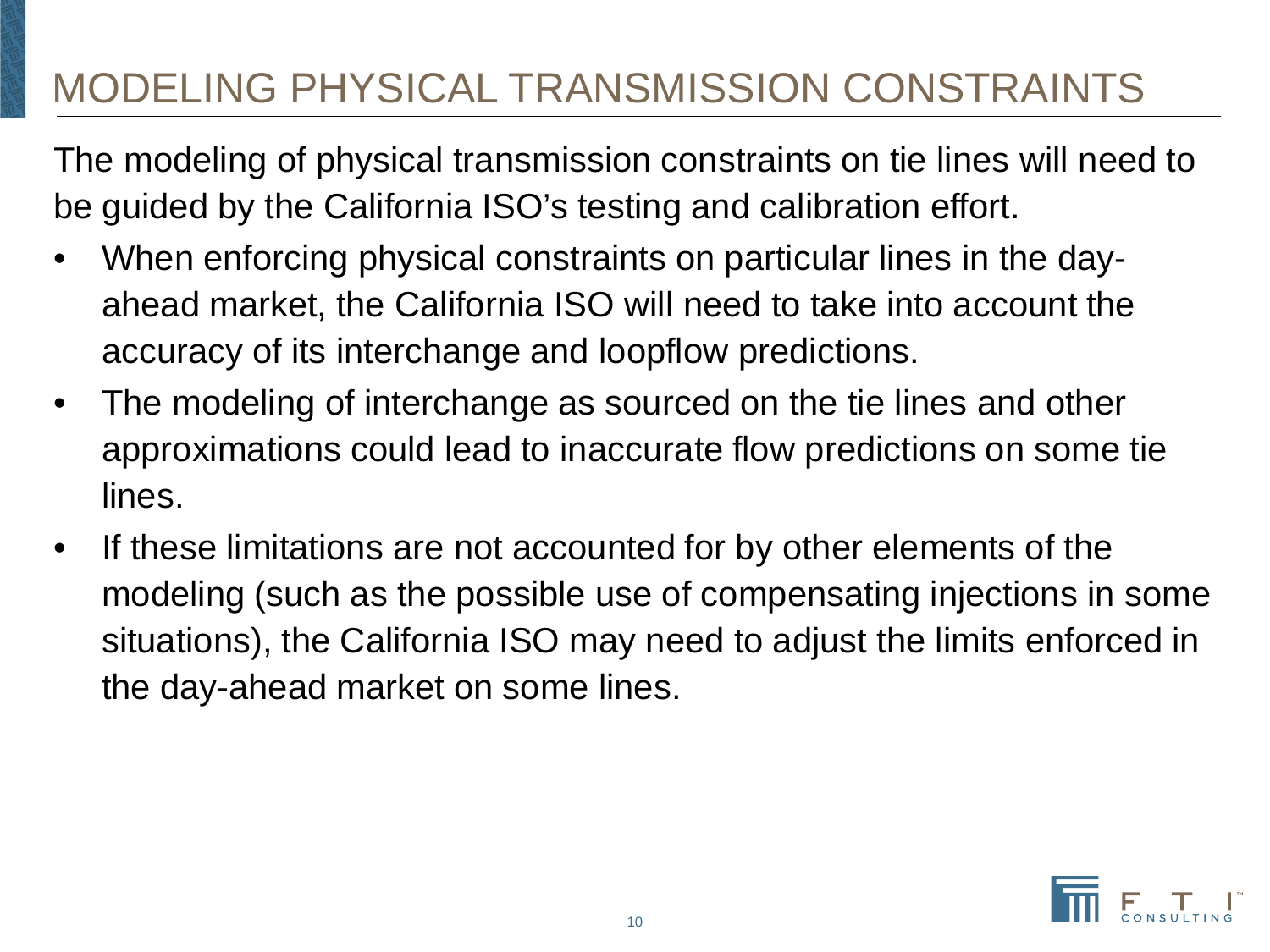The modeling of physical transmission constraints on tie lines will need to be guided by the California ISO's testing and calibration effort.

- When enforcing physical constraints on particular lines in the dayahead market, the California ISO will need to take into account the accuracy of its interchange and loopflow predictions.
- The modeling of interchange as sourced on the tie lines and other approximations could lead to inaccurate flow predictions on some tie lines.
- If these limitations are not accounted for by other elements of the modeling (such as the possible use of compensating injections in some situations), the California ISO may need to adjust the limits enforced in the day-ahead market on some lines.

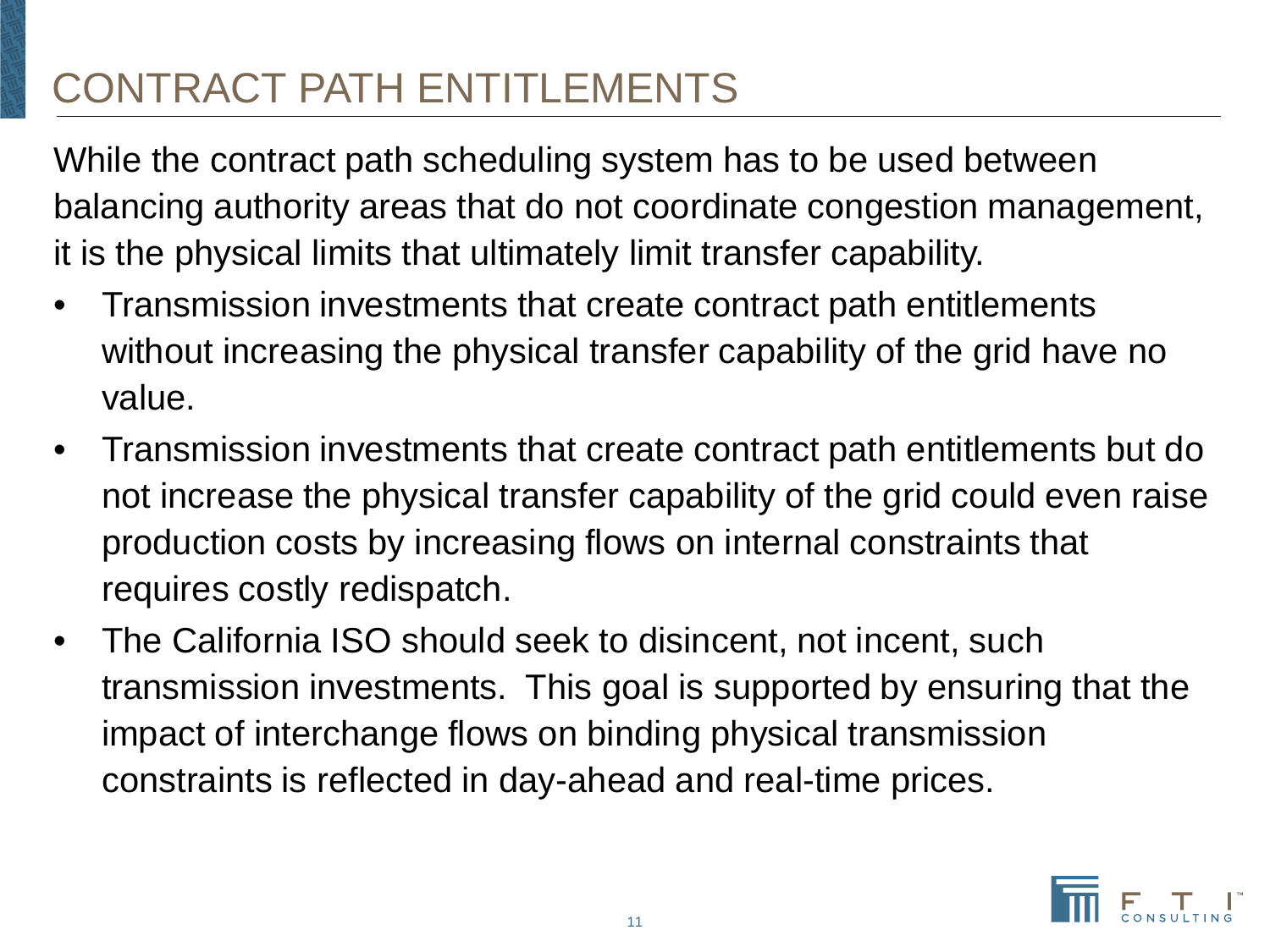# CONTRACT PATH ENTITLEMENTS

While the contract path scheduling system has to be used between balancing authority areas that do not coordinate congestion management, it is the physical limits that ultimately limit transfer capability.

- Transmission investments that create contract path entitlements without increasing the physical transfer capability of the grid have no value.
- Transmission investments that create contract path entitlements but do not increase the physical transfer capability of the grid could even raise production costs by increasing flows on internal constraints that requires costly redispatch.
- The California ISO should seek to disincent, not incent, such transmission investments. This goal is supported by ensuring that the impact of interchange flows on binding physical transmission constraints is reflected in day-ahead and real-time prices.

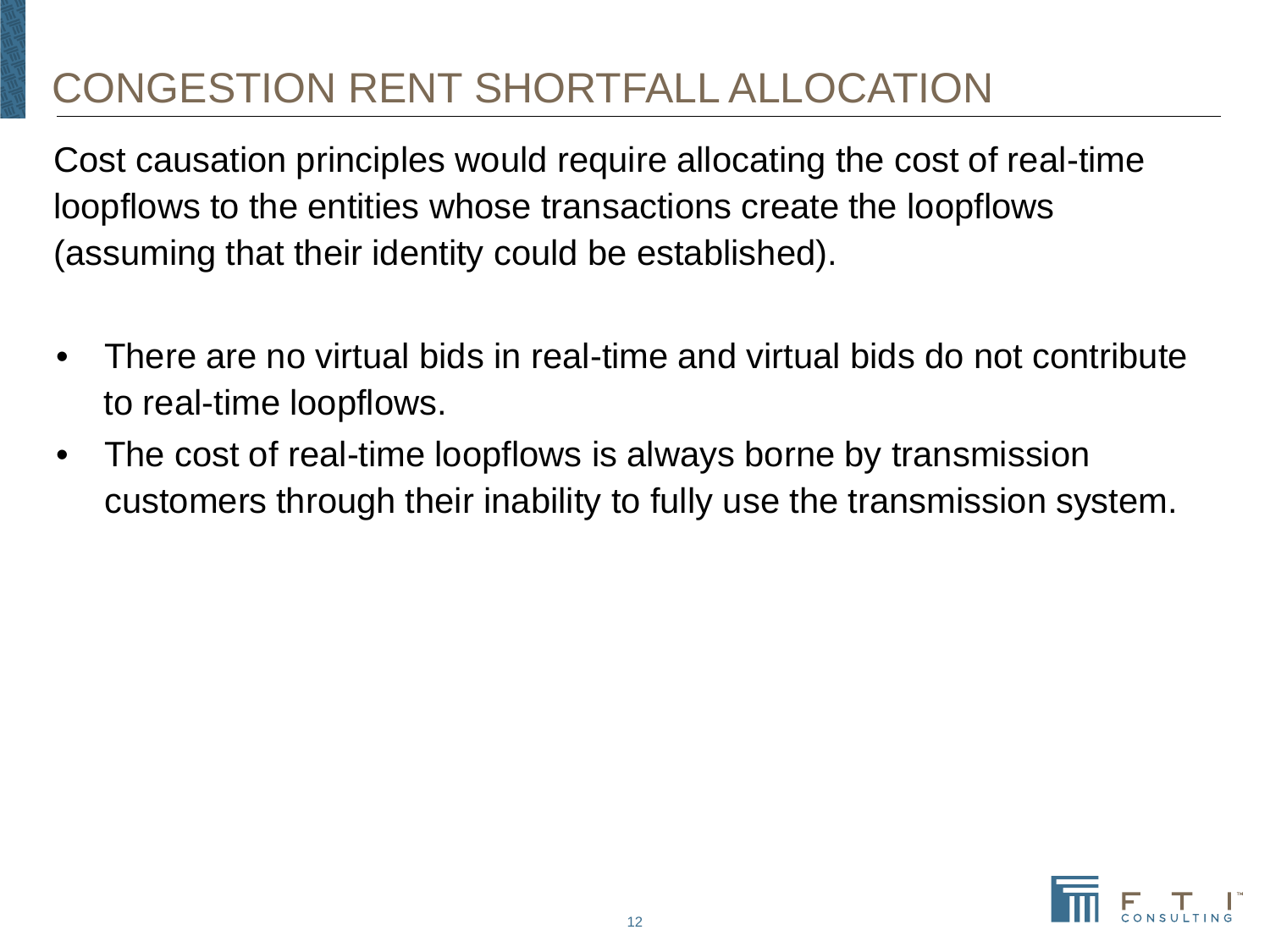# CONGESTION RENT SHORTFALL ALLOCATION

Cost causation principles would require allocating the cost of real-time loopflows to the entities whose transactions create the loopflows (assuming that their identity could be established).

- There are no virtual bids in real-time and virtual bids do not contribute to real-time loopflows.
- The cost of real-time loopflows is always borne by transmission customers through their inability to fully use the transmission system.